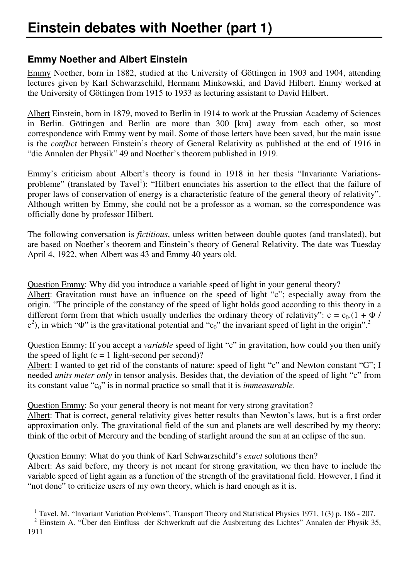## **Emmy Noether and Albert Einstein**

Emmy Noether, born in 1882, studied at the University of Göttingen in 1903 and 1904, attending lectures given by Karl Schwarzschild, Hermann Minkowski, and David Hilbert. Emmy worked at the University of Göttingen from 1915 to 1933 as lecturing assistant to David Hilbert.

Albert Einstein, born in 1879, moved to Berlin in 1914 to work at the Prussian Academy of Sciences in Berlin. Göttingen and Berlin are more than 300 [km] away from each other, so most correspondence with Emmy went by mail. Some of those letters have been saved, but the main issue is the *conflict* between Einstein's theory of General Relativity as published at the end of 1916 in "die Annalen der Physik" 49 and Noether's theorem published in 1919.

Emmy's criticism about Albert's theory is found in 1918 in her thesis "Invariante Variationsprobleme" (translated by Tavel<sup>1</sup>): "Hilbert enunciates his assertion to the effect that the failure of proper laws of conservation of energy is a characteristic feature of the general theory of relativity". Although written by Emmy, she could not be a professor as a woman, so the correspondence was officially done by professor Hilbert.

The following conversation is *fictitious*, unless written between double quotes (and translated), but are based on Noether's theorem and Einstein's theory of General Relativity. The date was Tuesday April 4, 1922, when Albert was 43 and Emmy 40 years old.

Question Emmy: Why did you introduce a variable speed of light in your general theory? Albert: Gravitation must have an influence on the speed of light "c"; especially away from the

origin. "The principle of the constancy of the speed of light holds good according to this theory in a different form from that which usually underlies the ordinary theory of relativity":  $c = c_0$ . (1 +  $\Phi$  /  $(c^2)$ , in which " $\Phi$ " is the gravitational potential and " $c_0$ " the invariant speed of light in the origin".<sup>2</sup>

Question Emmy: If you accept a *variable* speed of light "c" in gravitation, how could you then unify the speed of light  $(c = 1$  light-second per second)?

Albert: I wanted to get rid of the constants of nature: speed of light "c" and Newton constant "G"; I needed *units meter only* in tensor analysis. Besides that, the deviation of the speed of light "c" from its constant value "c0" is in normal practice so small that it is *immeasurable*.

Question Emmy: So your general theory is not meant for very strong gravitation?

Albert: That is correct, general relativity gives better results than Newton's laws, but is a first order approximation only. The gravitational field of the sun and planets are well described by my theory; think of the orbit of Mercury and the bending of starlight around the sun at an eclipse of the sun.

Question Emmy: What do you think of Karl Schwarzschild's *exact* solutions then?

1

Albert: As said before, my theory is not meant for strong gravitation, we then have to include the variable speed of light again as a function of the strength of the gravitational field. However, I find it "not done" to criticize users of my own theory, which is hard enough as it is.

<sup>&</sup>lt;sup>1</sup> Tavel. M. "Invariant Variation Problems", Transport Theory and Statistical Physics 1971, 1(3) p. 186 - 207.

<sup>&</sup>lt;sup>2</sup> Einstein A. "Über den Einfluss der Schwerkraft auf die Ausbreitung des Lichtes" Annalen der Physik 35, 1911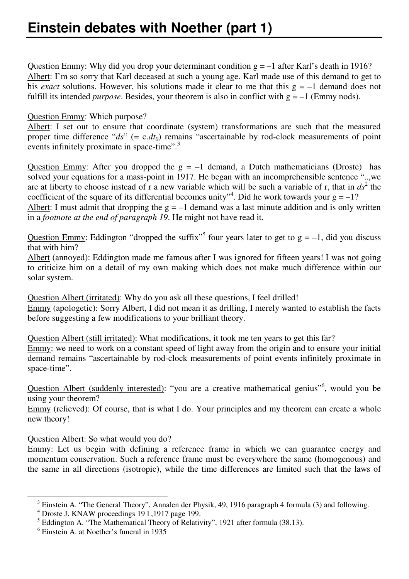Question Emmy: Why did you drop your determinant condition  $g = -1$  after Karl's death in 1916? Albert: I'm so sorry that Karl deceased at such a young age. Karl made use of this demand to get to his *exact* solutions. However, his solutions made it clear to me that this  $g = -1$  demand does not fulfill its intended *purpose*. Besides, your theorem is also in conflict with  $g = -1$  (Emmy nods).

## Question Emmy: Which purpose?

Albert: I set out to ensure that coordinate (system) transformations are such that the measured proper time difference "*ds*" (= c.*dt<sup>0</sup>* ) remains "ascertainable by rod-clock measurements of point events infinitely proximate in space-time".<sup>3</sup>

Question Emmy: After you dropped the  $g = -1$  demand, a Dutch mathematicians (Droste) has solved your equations for a mass-point in 1917. He began with an incomprehensible sentence "..,we are at liberty to choose instead of r a new variable which will be such a variable of r, that in  $ds^2$  the coefficient of the square of its differential becomes unity<sup>4</sup>. Did he work towards your  $g = -1$ ? Albert: I must admit that dropping the  $g = -1$  demand was a last minute addition and is only written

in a *footnote at the end of paragraph 19*. He might not have read it.

Question Emmy: Eddington "dropped the suffix"<sup>5</sup> four years later to get to  $g = -1$ , did you discuss that with him?

Albert (annoyed): Eddington made me famous after I was ignored for fifteen years! I was not going to criticize him on a detail of my own making which does not make much difference within our solar system.

Question Albert (irritated): Why do you ask all these questions, I feel drilled!

Emmy (apologetic): Sorry Albert, I did not mean it as drilling, I merely wanted to establish the facts before suggesting a few modifications to your brilliant theory.

Question Albert (still irritated): What modifications, it took me ten years to get this far?

Emmy: we need to work on a constant speed of light away from the origin and to ensure your initial demand remains "ascertainable by rod-clock measurements of point events infinitely proximate in space-time".

Question Albert (suddenly interested): "you are a creative mathematical genius"<sup>6</sup>, would you be using your theorem?

Emmy (relieved): Of course, that is what I do. Your principles and my theorem can create a whole new theory!

Question Albert: So what would you do?

Emmy: Let us begin with defining a reference frame in which we can guarantee energy and momentum conservation. Such a reference frame must be everywhere the same (homogenous) and the same in all directions (isotropic), while the time differences are limited such that the laws of

1

<sup>&</sup>lt;sup>3</sup> Einstein A. "The General Theory", Annalen der Physik, 49, 1916 paragraph 4 formula (3) and following.

<sup>4</sup> Droste J. KNAW proceedings 19 l ,1917 page 199.

<sup>&</sup>lt;sup>5</sup> Eddington A. "The Mathematical Theory of Relativity", 1921 after formula (38.13).

<sup>6</sup> Einstein A. at Noether's funeral in 1935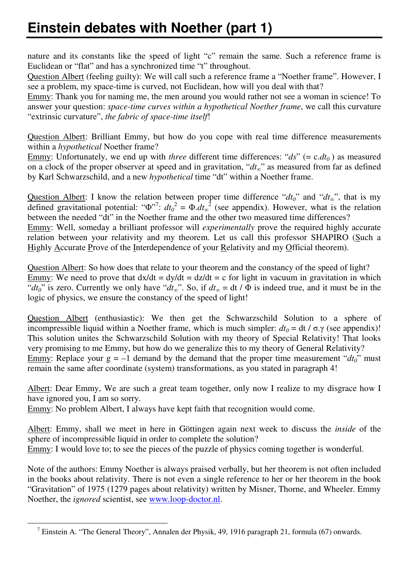## **Einstein debates with Noether (part 1)**

nature and its constants like the speed of light "c" remain the same. Such a reference frame is Euclidean or "flat" and has a synchronized time "t" throughout.

Question Albert (feeling guilty): We will call such a reference frame a "Noether frame". However, I see a problem, my space-time is curved, not Euclidean, how will you deal with that?

Emmy: Thank you for naming me, the men around you would rather not see a woman in science! To answer your question: *space-time curves within a hypothetical Noether frame*, we call this curvature "extrinsic curvature", *the fabric of space-time itself*!

Question Albert: Brilliant Emmy, but how do you cope with real time difference measurements within a *hypothetical* Noether frame?

Emmy: Unfortunately, we end up with *three* different time differences: " $ds$ " (= c.*dt*<sub>0</sub>) as measured on a clock of the proper observer at speed and in gravitation, "*dt∞*" as measured from far as defined by Karl Schwarzschild, and a new *hypothetical* time "dt" within a Noether frame.

Question Albert: I know the relation between proper time difference " $d t_0$ " and " $d t_{\alpha}$ ", that is my defined gravitational potential: " $\Phi^{r7}$ :  $dt_0^2 = \Phi \cdot dt_\infty^2$  (see appendix). However, what is the relation between the needed "dt" in the Noether frame and the other two measured time differences? Emmy: Well, someday a brilliant professor will *experimentally* prove the required highly accurate relation between your relativity and my theorem. Let us call this professor SHAPIRO (Such a Highly Accurate Prove of the Interdependence of your Relativity and my Official theorem).

Question Albert: So how does that relate to your theorem and the constancy of the speed of light? Emmy: We need to prove that  $dx/dt = dy/dt = dz/dt = c$  for light in vacuum in gravitation in which "*dt<sub>0</sub>*" is zero. Currently we only have "*dt<sub><i>o*</sub></sub>". So, if  $dt_{\varphi} = dt / \Phi$  is indeed true, and it must be in the logic of physics, we ensure the constancy of the speed of light!

Question Albert (enthusiastic): We then get the Schwarzschild Solution to a sphere of incompressible liquid within a Noether frame, which is much simpler:  $dt_0 = dt / \sigma$ . $\gamma$  (see appendix)! This solution unites the Schwarzschild Solution with my theory of Special Relativity! That looks very promising to me Emmy, but how do we generalize this to my theory of General Relativity? Emmy: Replace your  $g = -1$  demand by the demand that the proper time measurement " $dt_0$ " must remain the same after coordinate (system) transformations, as you stated in paragraph 4!

Albert: Dear Emmy, We are such a great team together, only now I realize to my disgrace how I have ignored you, I am so sorry.

Emmy: No problem Albert, I always have kept faith that recognition would come.

1

Albert: Emmy, shall we meet in here in Göttingen again next week to discuss the *inside* of the sphere of incompressible liquid in order to complete the solution? Emmy: I would love to; to see the pieces of the puzzle of physics coming together is wonderful.

Note of the authors: Emmy Noether is always praised verbally, but her theorem is not often included in the books about relativity. There is not even a single reference to her or her theorem in the book "Gravitation" of 1975 (1279 pages about relativity) written by Misner, Thorne, and Wheeler. Emmy Noether, the *ignored* scientist, see www.loop-doctor.nl.

<sup>&</sup>lt;sup>7</sup> Einstein A. "The General Theory", Annalen der Physik, 49, 1916 paragraph 21, formula (67) onwards.